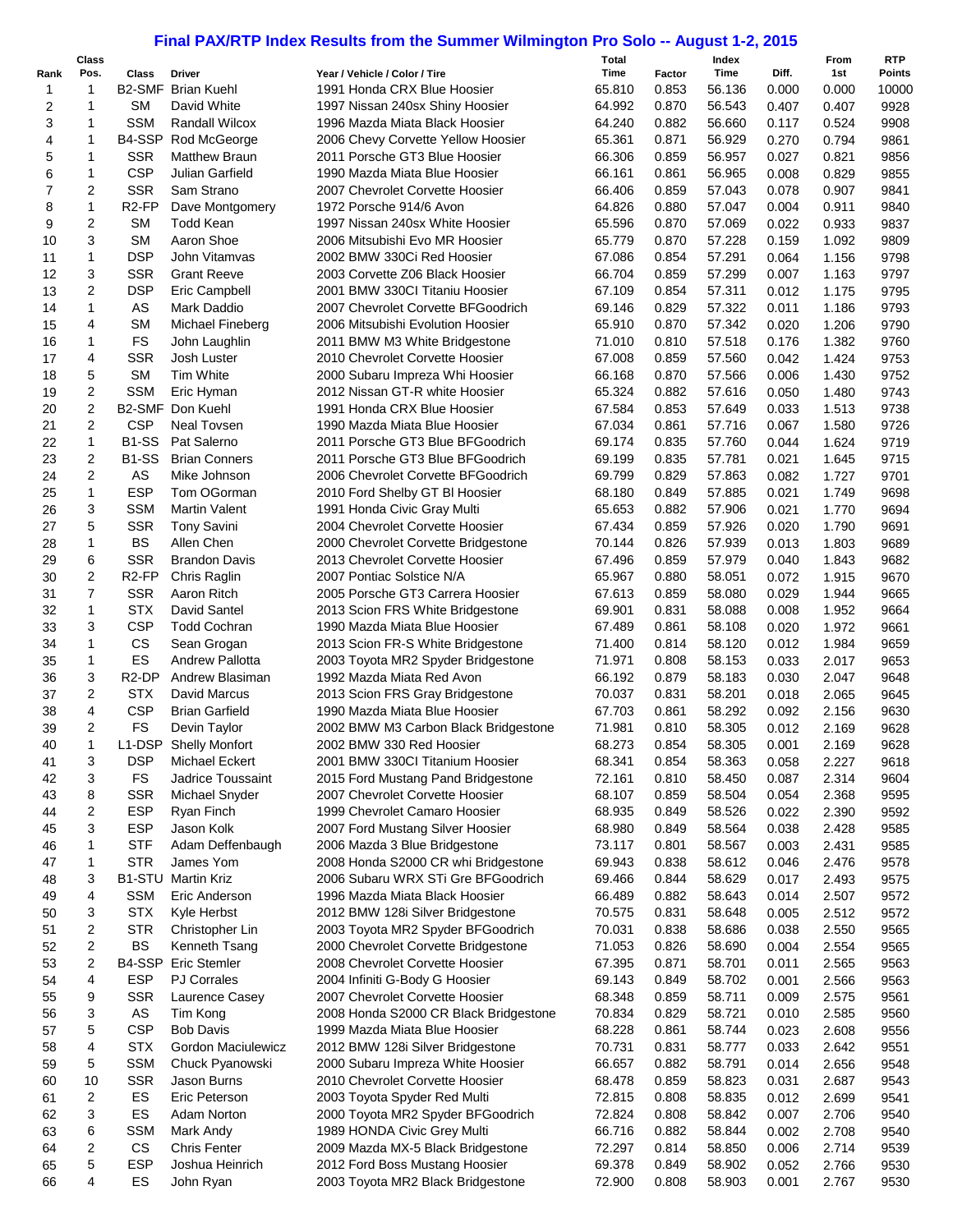## **Final PAX/RTP Index Results from the Summer Wilmington Pro Solo -- August 1-2, 2015**

|      |                | Final PAX/RTP Index Results from the Summer Wilmington Pro Solo -- August 1-2, 2015 |                                        |                                                                      |                  |        |               |       |                |                             |
|------|----------------|-------------------------------------------------------------------------------------|----------------------------------------|----------------------------------------------------------------------|------------------|--------|---------------|-------|----------------|-----------------------------|
| Rank | Class<br>Pos.  | <b>Class</b>                                                                        | <b>Driver</b>                          | Year / Vehicle / Color / Tire                                        | Total<br>Time    | Factor | Index<br>Time | Diff. | From<br>1st    | <b>RTP</b><br><b>Points</b> |
| 1    | 1              |                                                                                     | <b>B2-SMF Brian Kuehl</b>              | 1991 Honda CRX Blue Hoosier                                          | 65.810           | 0.853  | 56.136        | 0.000 | 0.000          | 10000                       |
| 2    | 1              | <b>SM</b>                                                                           | David White                            | 1997 Nissan 240sx Shiny Hoosier                                      | 64.992           | 0.870  | 56.543        | 0.407 | 0.407          | 9928                        |
| 3    | 1              | <b>SSM</b>                                                                          | Randall Wilcox                         | 1996 Mazda Miata Black Hoosier                                       | 64.240           | 0.882  | 56.660        | 0.117 | 0.524          | 9908                        |
| 4    | 1              |                                                                                     | B4-SSP Rod McGeorge                    | 2006 Chevy Corvette Yellow Hoosier                                   | 65.361           | 0.871  | 56.929        | 0.270 | 0.794          | 9861                        |
| 5    | 1              | <b>SSR</b>                                                                          | <b>Matthew Braun</b>                   | 2011 Porsche GT3 Blue Hoosier                                        | 66.306           | 0.859  | 56.957        | 0.027 | 0.821          | 9856                        |
| 6    | 1              | <b>CSP</b>                                                                          | Julian Garfield                        | 1990 Mazda Miata Blue Hoosier                                        | 66.161           | 0.861  | 56.965        | 0.008 | 0.829          | 9855                        |
| 7    | 2              | <b>SSR</b>                                                                          | Sam Strano                             | 2007 Chevrolet Corvette Hoosier                                      | 66.406           | 0.859  | 57.043        | 0.078 | 0.907          | 9841                        |
| 8    | 1              | R <sub>2</sub> -FP                                                                  | Dave Montgomery                        | 1972 Porsche 914/6 Avon                                              | 64.826           | 0.880  | 57.047        | 0.004 | 0.911          | 9840                        |
| 9    | 2              | <b>SM</b>                                                                           | <b>Todd Kean</b>                       | 1997 Nissan 240sx White Hoosier                                      | 65.596           | 0.870  | 57.069        | 0.022 | 0.933          | 9837                        |
| 10   | 3              | <b>SM</b>                                                                           | Aaron Shoe                             | 2006 Mitsubishi Evo MR Hoosier                                       | 65.779           | 0.870  | 57.228        | 0.159 | 1.092          | 9809                        |
| 11   | 1              | <b>DSP</b>                                                                          | John Vitamvas                          | 2002 BMW 330Ci Red Hoosier                                           | 67.086           | 0.854  | 57.291        | 0.064 | 1.156          | 9798                        |
| 12   | 3              | <b>SSR</b>                                                                          | <b>Grant Reeve</b>                     | 2003 Corvette Z06 Black Hoosier                                      | 66.704           | 0.859  | 57.299        | 0.007 | 1.163          | 9797                        |
| 13   | 2              | <b>DSP</b>                                                                          | Eric Campbell                          | 2001 BMW 330CI Titaniu Hoosier                                       | 67.109           | 0.854  | 57.311        | 0.012 | 1.175          | 9795                        |
| 14   | $\mathbf{1}$   | AS                                                                                  | Mark Daddio                            | 2007 Chevrolet Corvette BFGoodrich                                   | 69.146           | 0.829  | 57.322        | 0.011 | 1.186          | 9793                        |
| 15   | 4              | <b>SM</b>                                                                           | Michael Fineberg                       | 2006 Mitsubishi Evolution Hoosier                                    | 65.910           | 0.870  | 57.342        | 0.020 | 1.206          | 9790                        |
| 16   | 1              | FS                                                                                  | John Laughlin                          | 2011 BMW M3 White Bridgestone                                        | 71.010           | 0.810  | 57.518        | 0.176 | 1.382          | 9760                        |
| 17   | 4              | <b>SSR</b>                                                                          | Josh Luster                            | 2010 Chevrolet Corvette Hoosier                                      | 67.008           | 0.859  | 57.560        | 0.042 | 1.424          | 9753                        |
| 18   | 5              | <b>SM</b>                                                                           | Tim White                              | 2000 Subaru Impreza Whi Hoosier                                      | 66.168           | 0.870  | 57.566        | 0.006 | 1.430          | 9752                        |
| 19   | 2              | <b>SSM</b>                                                                          | Eric Hyman                             | 2012 Nissan GT-R white Hoosier                                       | 65.324           | 0.882  | 57.616        | 0.050 | 1.480          | 9743                        |
| 20   | $\overline{2}$ | B2-SMF                                                                              | Don Kuehl                              | 1991 Honda CRX Blue Hoosier                                          | 67.584           | 0.853  | 57.649        | 0.033 | 1.513          | 9738                        |
| 21   | $\overline{c}$ | <b>CSP</b>                                                                          | <b>Neal Tovsen</b>                     | 1990 Mazda Miata Blue Hoosier                                        | 67.034           | 0.861  | 57.716        | 0.067 | 1.580          | 9726                        |
| 22   | 1              | <b>B1-SS</b>                                                                        | Pat Salerno                            | 2011 Porsche GT3 Blue BFGoodrich                                     | 69.174           | 0.835  | 57.760        | 0.044 | 1.624          | 9719                        |
| 23   | $\overline{c}$ | <b>B1-SS</b>                                                                        | <b>Brian Conners</b>                   | 2011 Porsche GT3 Blue BFGoodrich                                     | 69.199           | 0.835  | 57.781        | 0.021 | 1.645          | 9715                        |
| 24   | 2              | AS                                                                                  | Mike Johnson                           | 2006 Chevrolet Corvette BFGoodrich                                   | 69.799           | 0.829  | 57.863        | 0.082 | 1.727          | 9701                        |
| 25   | $\mathbf{1}$   | <b>ESP</b>                                                                          | Tom OGorman                            | 2010 Ford Shelby GT BI Hoosier                                       | 68.180           | 0.849  | 57.885        | 0.021 | 1.749          | 9698                        |
| 26   | 3              | <b>SSM</b>                                                                          | <b>Martin Valent</b>                   | 1991 Honda Civic Gray Multi                                          | 65.653           | 0.882  | 57.906        | 0.021 | 1.770          | 9694                        |
| 27   | 5              | <b>SSR</b>                                                                          | <b>Tony Savini</b>                     | 2004 Chevrolet Corvette Hoosier                                      | 67.434           | 0.859  | 57.926        | 0.020 | 1.790          | 9691                        |
| 28   | 1              | <b>BS</b>                                                                           | Allen Chen                             | 2000 Chevrolet Corvette Bridgestone                                  | 70.144           | 0.826  | 57.939        | 0.013 | 1.803          | 9689                        |
| 29   | 6              | <b>SSR</b>                                                                          | <b>Brandon Davis</b>                   | 2013 Chevrolet Corvette Hoosier                                      | 67.496           | 0.859  | 57.979        | 0.040 | 1.843          | 9682                        |
| 30   | $\overline{c}$ | R <sub>2</sub> -FP                                                                  | Chris Raglin                           | 2007 Pontiac Solstice N/A                                            | 65.967           | 0.880  | 58.051        | 0.072 | 1.915          | 9670                        |
| 31   | $\overline{7}$ | <b>SSR</b>                                                                          | Aaron Ritch                            | 2005 Porsche GT3 Carrera Hoosier                                     | 67.613           | 0.859  | 58.080        | 0.029 | 1.944          | 9665                        |
| 32   | 1              | <b>STX</b>                                                                          | David Santel                           | 2013 Scion FRS White Bridgestone                                     | 69.901           | 0.831  | 58.088        | 0.008 | 1.952          | 9664                        |
| 33   | 3              | <b>CSP</b>                                                                          | <b>Todd Cochran</b>                    | 1990 Mazda Miata Blue Hoosier                                        | 67.489           | 0.861  | 58.108        | 0.020 | 1.972          | 9661                        |
| 34   | 1              | CS                                                                                  | Sean Grogan                            | 2013 Scion FR-S White Bridgestone                                    | 71.400           | 0.814  | 58.120        | 0.012 | 1.984          | 9659                        |
| 35   | 1              | ES                                                                                  | <b>Andrew Pallotta</b>                 | 2003 Toyota MR2 Spyder Bridgestone                                   | 71.971           | 0.808  | 58.153        | 0.033 | 2.017          | 9653                        |
| 36   | 3              | R <sub>2</sub> -DP                                                                  | Andrew Blasiman                        | 1992 Mazda Miata Red Avon                                            | 66.192           | 0.879  | 58.183        | 0.030 | 2.047          | 9648                        |
| 37   | 2              | <b>STX</b>                                                                          | David Marcus                           | 2013 Scion FRS Gray Bridgestone                                      | 70.037           | 0.831  | 58.201        | 0.018 | 2.065          | 9645                        |
| 38   | 4              | <b>CSP</b>                                                                          | <b>Brian Garfield</b>                  | 1990 Mazda Miata Blue Hoosier                                        | 67.703           | 0.861  | 58.292        | 0.092 | 2.156          | 9630                        |
| 39   | 2              | <b>FS</b>                                                                           | Devin Taylor                           | 2002 BMW M3 Carbon Black Bridgestone                                 | 71.981           | 0.810  | 58.305        | 0.012 | 2.169          | 9628                        |
| 40   | 1              |                                                                                     | L1-DSP Shelly Monfort                  | 2002 BMW 330 Red Hoosier                                             | 68.273           | 0.854  | 58.305        | 0.001 | 2.169          | 9628                        |
| 41   | 3              | <b>DSP</b>                                                                          | Michael Eckert                         | 2001 BMW 330Cl Titanium Hoosier                                      | 68.341           | 0.854  | 58.363        | 0.058 | 2.227          | 9618                        |
| 42   | 3              | FS                                                                                  | Jadrice Toussaint                      | 2015 Ford Mustang Pand Bridgestone                                   | 72.161           | 0.810  | 58.450        | 0.087 | 2.314          | 9604                        |
| 43   | 8              | <b>SSR</b>                                                                          | Michael Snyder                         | 2007 Chevrolet Corvette Hoosier                                      | 68.107           | 0.859  | 58.504        | 0.054 | 2.368          | 9595                        |
| 44   | 2              | <b>ESP</b>                                                                          | Ryan Finch                             | 1999 Chevrolet Camaro Hoosier                                        | 68.935           | 0.849  | 58.526        | 0.022 | 2.390          | 9592                        |
| 45   | 3              | <b>ESP</b>                                                                          | Jason Kolk                             | 2007 Ford Mustang Silver Hoosier                                     | 68.980           | 0.849  | 58.564        | 0.038 | 2.428          | 9585                        |
| 46   | 1              | <b>STF</b>                                                                          | Adam Deffenbaugh                       | 2006 Mazda 3 Blue Bridgestone                                        | 73.117           | 0.801  | 58.567        | 0.003 | 2.431          | 9585                        |
| 47   | 1              | <b>STR</b>                                                                          | James Yom                              | 2008 Honda S2000 CR whi Bridgestone                                  | 69.943           | 0.838  | 58.612        | 0.046 | 2.476          | 9578                        |
| 48   | 3              | B1-STU                                                                              | <b>Martin Kriz</b>                     | 2006 Subaru WRX STi Gre BFGoodrich                                   | 69.466           | 0.844  | 58.629        | 0.017 | 2.493          | 9575                        |
| 49   | 4              | <b>SSM</b>                                                                          | Eric Anderson                          | 1996 Mazda Miata Black Hoosier                                       | 66.489           | 0.882  | 58.643        | 0.014 | 2.507          | 9572                        |
| 50   | 3              | <b>STX</b>                                                                          | Kyle Herbst                            | 2012 BMW 128i Silver Bridgestone                                     | 70.575           | 0.831  | 58.648        | 0.005 | 2.512          | 9572                        |
| 51   | 2              | <b>STR</b>                                                                          | Christopher Lin                        | 2003 Toyota MR2 Spyder BFGoodrich                                    | 70.031           | 0.838  | 58.686        | 0.038 | 2.550          | 9565                        |
| 52   | 2              | BS                                                                                  | Kenneth Tsang                          | 2000 Chevrolet Corvette Bridgestone                                  | 71.053           | 0.826  | 58.690        | 0.004 | 2.554          | 9565                        |
| 53   | 2              | B4-SSP                                                                              | <b>Eric Stemler</b>                    | 2008 Chevrolet Corvette Hoosier                                      | 67.395           | 0.871  | 58.701        | 0.011 | 2.565          | 9563                        |
| 54   | 4              | ESP                                                                                 | <b>PJ Corrales</b>                     | 2004 Infiniti G-Body G Hoosier                                       | 69.143           | 0.849  | 58.702        | 0.001 | 2.566          | 9563                        |
| 55   | 9              | <b>SSR</b>                                                                          | Laurence Casey                         | 2007 Chevrolet Corvette Hoosier                                      | 68.348           | 0.859  | 58.711        | 0.009 | 2.575          | 9561                        |
| 56   | 3              | AS                                                                                  | Tim Kong                               | 2008 Honda S2000 CR Black Bridgestone                                | 70.834           | 0.829  | 58.721        | 0.010 | 2.585          | 9560                        |
| 57   | 5              | <b>CSP</b>                                                                          | <b>Bob Davis</b>                       | 1999 Mazda Miata Blue Hoosier                                        | 68.228           | 0.861  | 58.744        | 0.023 | 2.608          | 9556                        |
| 58   | 4              | <b>STX</b>                                                                          | Gordon Maciulewicz                     | 2012 BMW 128i Silver Bridgestone                                     | 70.731           | 0.831  | 58.777        | 0.033 | 2.642          | 9551                        |
| 59   | 5              | <b>SSM</b>                                                                          |                                        |                                                                      | 66.657           | 0.882  | 58.791        | 0.014 |                | 9548                        |
|      | 10             | <b>SSR</b>                                                                          | Chuck Pyanowski<br>Jason Burns         | 2000 Subaru Impreza White Hoosier<br>2010 Chevrolet Corvette Hoosier | 68.478           | 0.859  | 58.823        | 0.031 | 2.656<br>2.687 | 9543                        |
| 60   | 2              | ES                                                                                  | Eric Peterson                          |                                                                      | 72.815           | 0.808  | 58.835        |       |                |                             |
| 61   |                |                                                                                     |                                        | 2003 Toyota Spyder Red Multi                                         |                  |        |               | 0.012 | 2.699          | 9541                        |
| 62   | 3              | ES                                                                                  | Adam Norton                            | 2000 Toyota MR2 Spyder BFGoodrich                                    | 72.824           | 0.808  | 58.842        | 0.007 | 2.706          | 9540                        |
| 63   | 6              | <b>SSM</b>                                                                          | Mark Andy                              | 1989 HONDA Civic Grey Multi                                          | 66.716           | 0.882  | 58.844        | 0.002 | 2.708          | 9540                        |
| 64   | 2<br>5         | CS<br><b>ESP</b>                                                                    | <b>Chris Fenter</b><br>Joshua Heinrich | 2009 Mazda MX-5 Black Bridgestone                                    | 72.297<br>69.378 | 0.814  | 58.850        | 0.006 | 2.714          | 9539                        |
| 65   |                |                                                                                     |                                        | 2012 Ford Boss Mustang Hoosier                                       |                  | 0.849  | 58.902        | 0.052 | 2.766          | 9530                        |
| 66   | 4              | ES                                                                                  | John Ryan                              | 2003 Toyota MR2 Black Bridgestone                                    | 72.900           | 0.808  | 58.903        | 0.001 | 2.767          | 9530                        |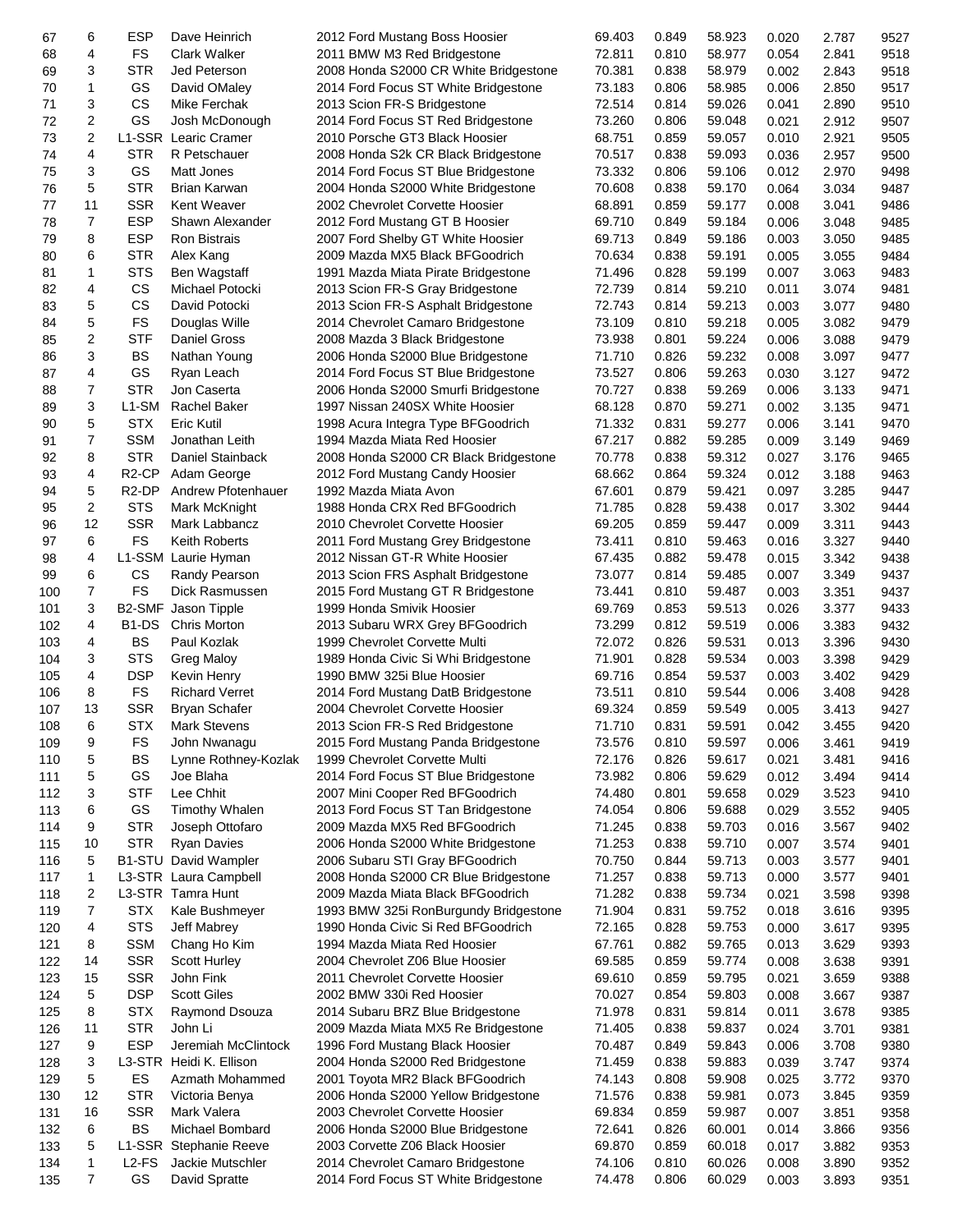| 67  | 6              | <b>ESP</b>                     | Dave Heinrich           | 2012 Ford Mustang Boss Hoosier                                        | 69.403 | 0.849 | 58.923 | 0.020 | 2.787 | 9527 |
|-----|----------------|--------------------------------|-------------------------|-----------------------------------------------------------------------|--------|-------|--------|-------|-------|------|
| 68  | 4              | <b>FS</b>                      | <b>Clark Walker</b>     | 2011 BMW M3 Red Bridgestone                                           | 72.811 | 0.810 | 58.977 | 0.054 | 2.841 | 9518 |
| 69  | 3              | <b>STR</b>                     | Jed Peterson            | 2008 Honda S2000 CR White Bridgestone                                 | 70.381 | 0.838 | 58.979 | 0.002 | 2.843 | 9518 |
| 70  | 1              | GS                             | David OMaley            | 2014 Ford Focus ST White Bridgestone                                  | 73.183 | 0.806 | 58.985 | 0.006 | 2.850 | 9517 |
| 71  | 3              | <b>CS</b>                      | Mike Ferchak            | 2013 Scion FR-S Bridgestone                                           | 72.514 | 0.814 | 59.026 | 0.041 | 2.890 | 9510 |
| 72  | 2              | GS                             | Josh McDonough          | 2014 Ford Focus ST Red Bridgestone                                    | 73.260 | 0.806 | 59.048 | 0.021 | 2.912 | 9507 |
| 73  | $\overline{c}$ |                                | L1-SSR Learic Cramer    | 2010 Porsche GT3 Black Hoosier                                        | 68.751 | 0.859 | 59.057 | 0.010 | 2.921 | 9505 |
| 74  | 4              | STR                            | R Petschauer            | 2008 Honda S2k CR Black Bridgestone                                   | 70.517 | 0.838 | 59.093 | 0.036 | 2.957 | 9500 |
| 75  | 3              | GS                             | Matt Jones              | 2014 Ford Focus ST Blue Bridgestone                                   | 73.332 | 0.806 | 59.106 | 0.012 | 2.970 | 9498 |
| 76  | 5              | <b>STR</b>                     | Brian Karwan            |                                                                       | 70.608 | 0.838 | 59.170 | 0.064 | 3.034 | 9487 |
|     |                |                                |                         | 2004 Honda S2000 White Bridgestone<br>2002 Chevrolet Corvette Hoosier |        |       |        |       |       |      |
| 77  | 11             | <b>SSR</b>                     | <b>Kent Weaver</b>      |                                                                       | 68.891 | 0.859 | 59.177 | 0.008 | 3.041 | 9486 |
| 78  | $\overline{7}$ | <b>ESP</b>                     | Shawn Alexander         | 2012 Ford Mustang GT B Hoosier                                        | 69.710 | 0.849 | 59.184 | 0.006 | 3.048 | 9485 |
| 79  | 8              | <b>ESP</b>                     | <b>Ron Bistrais</b>     | 2007 Ford Shelby GT White Hoosier                                     | 69.713 | 0.849 | 59.186 | 0.003 | 3.050 | 9485 |
| 80  | 6              | <b>STR</b>                     | Alex Kang               | 2009 Mazda MX5 Black BFGoodrich                                       | 70.634 | 0.838 | 59.191 | 0.005 | 3.055 | 9484 |
| 81  | 1              | <b>STS</b>                     | <b>Ben Wagstaff</b>     | 1991 Mazda Miata Pirate Bridgestone                                   | 71.496 | 0.828 | 59.199 | 0.007 | 3.063 | 9483 |
| 82  | 4              | CS                             | Michael Potocki         | 2013 Scion FR-S Gray Bridgestone                                      | 72.739 | 0.814 | 59.210 | 0.011 | 3.074 | 9481 |
| 83  | 5              | <b>CS</b>                      | David Potocki           | 2013 Scion FR-S Asphalt Bridgestone                                   | 72.743 | 0.814 | 59.213 | 0.003 | 3.077 | 9480 |
| 84  | 5              | <b>FS</b>                      | Douglas Wille           | 2014 Chevrolet Camaro Bridgestone                                     | 73.109 | 0.810 | 59.218 | 0.005 | 3.082 | 9479 |
| 85  | 2              | <b>STF</b>                     | Daniel Gross            | 2008 Mazda 3 Black Bridgestone                                        | 73.938 | 0.801 | 59.224 | 0.006 | 3.088 | 9479 |
| 86  | 3              | BS                             | Nathan Young            | 2006 Honda S2000 Blue Bridgestone                                     | 71.710 | 0.826 | 59.232 | 0.008 | 3.097 | 9477 |
| 87  | 4              | GS                             | Ryan Leach              | 2014 Ford Focus ST Blue Bridgestone                                   | 73.527 | 0.806 | 59.263 | 0.030 | 3.127 | 9472 |
| 88  | 7              | <b>STR</b>                     | Jon Caserta             | 2006 Honda S2000 Smurfi Bridgestone                                   | 70.727 | 0.838 | 59.269 | 0.006 | 3.133 | 9471 |
| 89  | 3              | L1-SM                          | <b>Rachel Baker</b>     | 1997 Nissan 240SX White Hoosier                                       | 68.128 | 0.870 | 59.271 | 0.002 | 3.135 | 9471 |
| 90  | 5              | <b>STX</b>                     | <b>Eric Kutil</b>       | 1998 Acura Integra Type BFGoodrich                                    | 71.332 | 0.831 | 59.277 | 0.006 | 3.141 | 9470 |
| 91  | 7              | <b>SSM</b>                     | Jonathan Leith          | 1994 Mazda Miata Red Hoosier                                          | 67.217 | 0.882 | 59.285 | 0.009 | 3.149 | 9469 |
| 92  | 8              | <b>STR</b>                     | Daniel Stainback        | 2008 Honda S2000 CR Black Bridgestone                                 | 70.778 | 0.838 | 59.312 | 0.027 | 3.176 | 9465 |
| 93  | 4              | R <sub>2</sub> -CP             | Adam George             | 2012 Ford Mustang Candy Hoosier                                       | 68.662 | 0.864 | 59.324 | 0.012 | 3.188 | 9463 |
|     | 5              | R <sub>2</sub> -DP             | Andrew Pfotenhauer      | 1992 Mazda Miata Avon                                                 | 67.601 | 0.879 | 59.421 |       |       |      |
| 94  |                |                                |                         |                                                                       |        |       |        | 0.097 | 3.285 | 9447 |
| 95  | 2              | <b>STS</b>                     | Mark McKnight           | 1988 Honda CRX Red BFGoodrich                                         | 71.785 | 0.828 | 59.438 | 0.017 | 3.302 | 9444 |
| 96  | 12             | <b>SSR</b>                     | Mark Labbancz           | 2010 Chevrolet Corvette Hoosier                                       | 69.205 | 0.859 | 59.447 | 0.009 | 3.311 | 9443 |
| 97  | 6              | <b>FS</b>                      | Keith Roberts           | 2011 Ford Mustang Grey Bridgestone                                    | 73.411 | 0.810 | 59.463 | 0.016 | 3.327 | 9440 |
| 98  | 4              |                                | L1-SSM Laurie Hyman     | 2012 Nissan GT-R White Hoosier                                        | 67.435 | 0.882 | 59.478 | 0.015 | 3.342 | 9438 |
| 99  | 6              | <b>CS</b>                      | Randy Pearson           | 2013 Scion FRS Asphalt Bridgestone                                    | 73.077 | 0.814 | 59.485 | 0.007 | 3.349 | 9437 |
| 100 | 7              | <b>FS</b>                      | Dick Rasmussen          | 2015 Ford Mustang GT R Bridgestone                                    | 73.441 | 0.810 | 59.487 | 0.003 | 3.351 | 9437 |
| 101 | 3              | B2-SMF                         | Jason Tipple            | 1999 Honda Smivik Hoosier                                             | 69.769 | 0.853 | 59.513 | 0.026 | 3.377 | 9433 |
| 102 | 4              | B <sub>1</sub> -D <sub>S</sub> | Chris Morton            | 2013 Subaru WRX Grey BFGoodrich                                       | 73.299 | 0.812 | 59.519 | 0.006 | 3.383 | 9432 |
| 103 | 4              | <b>BS</b>                      | Paul Kozlak             | 1999 Chevrolet Corvette Multi                                         | 72.072 | 0.826 | 59.531 | 0.013 | 3.396 | 9430 |
| 104 | 3              | <b>STS</b>                     | <b>Greg Maloy</b>       | 1989 Honda Civic Si Whi Bridgestone                                   | 71.901 | 0.828 | 59.534 | 0.003 | 3.398 | 9429 |
| 105 | 4              | <b>DSP</b>                     | Kevin Henry             | 1990 BMW 325i Blue Hoosier                                            | 69.716 | 0.854 | 59.537 | 0.003 | 3.402 | 9429 |
| 106 | 8              | <b>FS</b>                      | <b>Richard Verret</b>   | 2014 Ford Mustang DatB Bridgestone                                    | 73.511 | 0.810 | 59.544 | 0.006 | 3.408 | 9428 |
| 107 | 13             | <b>SSR</b>                     | <b>Bryan Schafer</b>    | 2004 Chevrolet Corvette Hoosier                                       | 69.324 | 0.859 | 59.549 | 0.005 | 3.413 | 9427 |
| 108 | 6              | STX                            | <b>Mark Stevens</b>     | 2013 Scion FR-S Red Bridgestone                                       | 71.710 | 0.831 | 59.591 | 0.042 | 3.455 | 9420 |
| 109 | 9              | FS                             | John Nwanagu            | 2015 Ford Mustang Panda Bridgestone                                   | 73.576 | 0.810 | 59.597 | 0.006 | 3.461 | 9419 |
| 110 | 5              | BS                             | Lynne Rothney-Kozlak    | 1999 Chevrolet Corvette Multi                                         | 72.176 | 0.826 | 59.617 | 0.021 | 3.481 | 9416 |
| 111 | 5              | GS                             | Joe Blaha               | 2014 Ford Focus ST Blue Bridgestone                                   | 73.982 | 0.806 | 59.629 | 0.012 | 3.494 | 9414 |
|     |                |                                |                         |                                                                       |        |       |        |       |       |      |
| 112 | 3              | <b>STF</b>                     | Lee Chhit               | 2007 Mini Cooper Red BFGoodrich                                       | 74.480 | 0.801 | 59.658 | 0.029 | 3.523 | 9410 |
| 113 | 6              | GS                             | <b>Timothy Whalen</b>   | 2013 Ford Focus ST Tan Bridgestone                                    | 74.054 | 0.806 | 59.688 | 0.029 | 3.552 | 9405 |
| 114 | 9              | <b>STR</b>                     | Joseph Ottofaro         | 2009 Mazda MX5 Red BFGoodrich                                         | 71.245 | 0.838 | 59.703 | 0.016 | 3.567 | 9402 |
| 115 | 10             | <b>STR</b>                     | <b>Ryan Davies</b>      | 2006 Honda S2000 White Bridgestone                                    | 71.253 | 0.838 | 59.710 | 0.007 | 3.574 | 9401 |
| 116 | 5              |                                | B1-STU David Wampler    | 2006 Subaru STI Gray BFGoodrich                                       | 70.750 | 0.844 | 59.713 | 0.003 | 3.577 | 9401 |
| 117 | 1              |                                | L3-STR Laura Campbell   | 2008 Honda S2000 CR Blue Bridgestone                                  | 71.257 | 0.838 | 59.713 | 0.000 | 3.577 | 9401 |
| 118 | 2              |                                | L3-STR Tamra Hunt       | 2009 Mazda Miata Black BFGoodrich                                     | 71.282 | 0.838 | 59.734 | 0.021 | 3.598 | 9398 |
| 119 | 7              | <b>STX</b>                     | Kale Bushmeyer          | 1993 BMW 325i RonBurgundy Bridgestone                                 | 71.904 | 0.831 | 59.752 | 0.018 | 3.616 | 9395 |
| 120 | 4              | <b>STS</b>                     | Jeff Mabrey             | 1990 Honda Civic Si Red BFGoodrich                                    | 72.165 | 0.828 | 59.753 | 0.000 | 3.617 | 9395 |
| 121 | 8              | <b>SSM</b>                     | Chang Ho Kim            | 1994 Mazda Miata Red Hoosier                                          | 67.761 | 0.882 | 59.765 | 0.013 | 3.629 | 9393 |
| 122 | 14             | <b>SSR</b>                     | <b>Scott Hurley</b>     | 2004 Chevrolet Z06 Blue Hoosier                                       | 69.585 | 0.859 | 59.774 | 0.008 | 3.638 | 9391 |
| 123 | 15             | <b>SSR</b>                     | John Fink               | 2011 Chevrolet Corvette Hoosier                                       | 69.610 | 0.859 | 59.795 | 0.021 | 3.659 | 9388 |
| 124 | 5              | <b>DSP</b>                     | <b>Scott Giles</b>      | 2002 BMW 330i Red Hoosier                                             | 70.027 | 0.854 | 59.803 | 0.008 | 3.667 | 9387 |
| 125 | 8              | <b>STX</b>                     | Raymond Dsouza          | 2014 Subaru BRZ Blue Bridgestone                                      | 71.978 | 0.831 | 59.814 | 0.011 | 3.678 | 9385 |
| 126 | 11             | <b>STR</b>                     | John Li                 | 2009 Mazda Miata MX5 Re Bridgestone                                   | 71.405 | 0.838 | 59.837 | 0.024 | 3.701 | 9381 |
| 127 | 9              | <b>ESP</b>                     | Jeremiah McClintock     | 1996 Ford Mustang Black Hoosier                                       | 70.487 | 0.849 | 59.843 | 0.006 | 3.708 | 9380 |
| 128 | 3              |                                | L3-STR Heidi K. Ellison | 2004 Honda S2000 Red Bridgestone                                      | 71.459 | 0.838 | 59.883 | 0.039 | 3.747 | 9374 |
| 129 | 5              | ES                             | Azmath Mohammed         | 2001 Toyota MR2 Black BFGoodrich                                      | 74.143 | 0.808 | 59.908 | 0.025 | 3.772 | 9370 |
| 130 | 12             | <b>STR</b>                     | Victoria Benya          | 2006 Honda S2000 Yellow Bridgestone                                   | 71.576 | 0.838 | 59.981 | 0.073 | 3.845 | 9359 |
|     | 16             | <b>SSR</b>                     | Mark Valera             |                                                                       | 69.834 | 0.859 |        | 0.007 |       |      |
| 131 |                |                                |                         | 2003 Chevrolet Corvette Hoosier                                       |        |       | 59.987 |       | 3.851 | 9358 |
| 132 | 6              | BS                             | Michael Bombard         | 2006 Honda S2000 Blue Bridgestone                                     | 72.641 | 0.826 | 60.001 | 0.014 | 3.866 | 9356 |
| 133 | 5              | L1-SSR                         | <b>Stephanie Reeve</b>  | 2003 Corvette Z06 Black Hoosier                                       | 69.870 | 0.859 | 60.018 | 0.017 | 3.882 | 9353 |
| 134 | 1              | L <sub>2</sub> -FS             | Jackie Mutschler        | 2014 Chevrolet Camaro Bridgestone                                     | 74.106 | 0.810 | 60.026 | 0.008 | 3.890 | 9352 |
| 135 | 7              | GS                             | David Spratte           | 2014 Ford Focus ST White Bridgestone                                  | 74.478 | 0.806 | 60.029 | 0.003 | 3.893 | 9351 |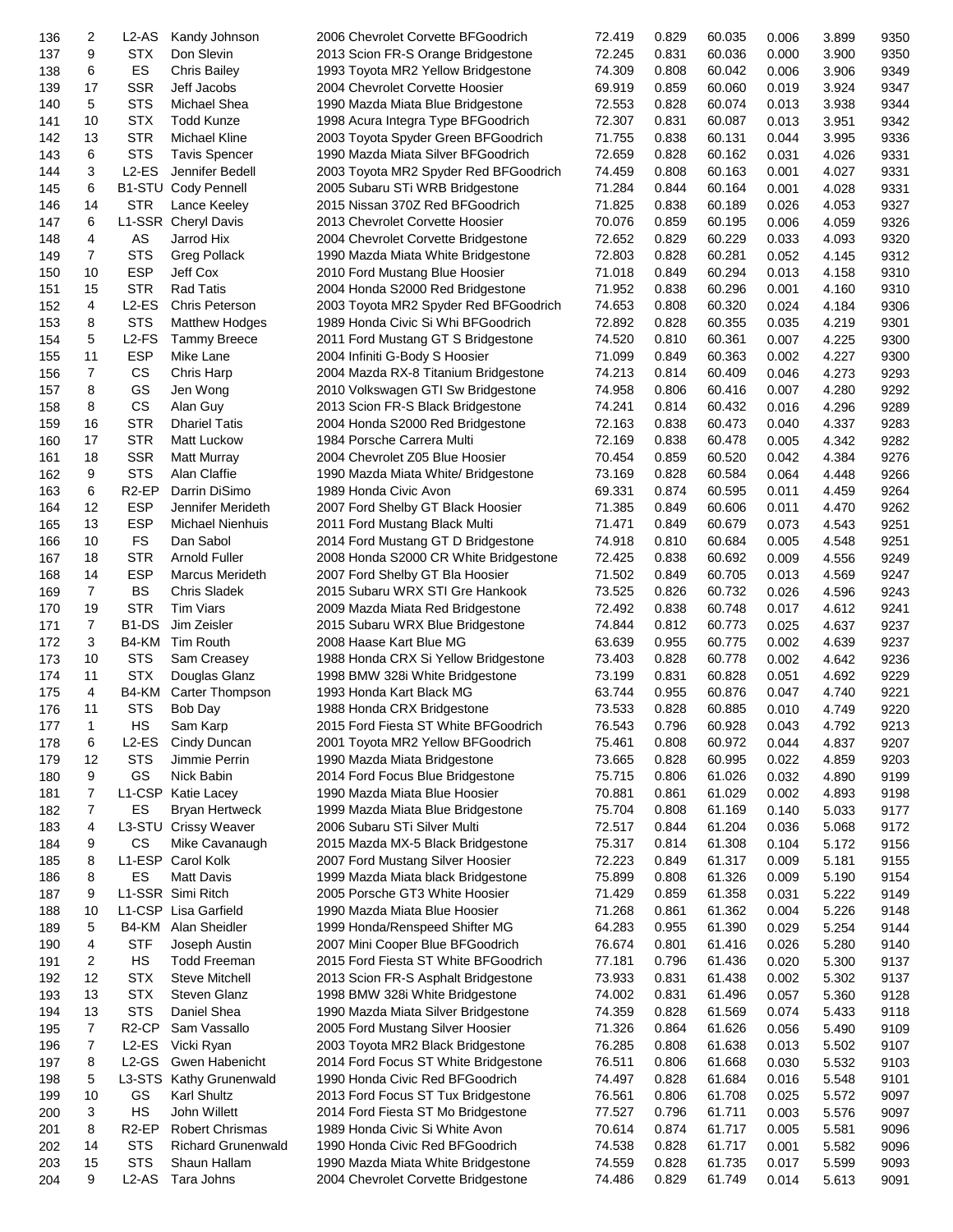| 136        | 2              | L2-AS                          | Kandy Johnson                      | 2006 Chevrolet Corvette BFGoodrich                                   | 72.419           | 0.829          | 60.035           | 0.006          | 3.899          | 9350         |
|------------|----------------|--------------------------------|------------------------------------|----------------------------------------------------------------------|------------------|----------------|------------------|----------------|----------------|--------------|
| 137        | 9              | <b>STX</b>                     | Don Slevin                         | 2013 Scion FR-S Orange Bridgestone                                   | 72.245           | 0.831          | 60.036           | 0.000          | 3.900          | 9350         |
| 138        | 6              | ES                             | <b>Chris Bailey</b>                | 1993 Toyota MR2 Yellow Bridgestone                                   | 74.309           | 0.808          | 60.042           | 0.006          | 3.906          | 9349         |
| 139        | 17             | <b>SSR</b>                     | Jeff Jacobs                        | 2004 Chevrolet Corvette Hoosier                                      | 69.919           | 0.859          | 60.060           | 0.019          | 3.924          | 9347         |
| 140        | 5              | <b>STS</b>                     | Michael Shea                       | 1990 Mazda Miata Blue Bridgestone                                    | 72.553           | 0.828          | 60.074           | 0.013          | 3.938          | 9344         |
| 141        | 10             | <b>STX</b>                     | <b>Todd Kunze</b>                  | 1998 Acura Integra Type BFGoodrich                                   | 72.307           | 0.831          | 60.087           | 0.013          | 3.951          | 9342         |
| 142        | 13             | <b>STR</b>                     | Michael Kline                      | 2003 Toyota Spyder Green BFGoodrich                                  | 71.755           | 0.838          | 60.131           | 0.044          | 3.995          | 9336         |
| 143        | 6              | <b>STS</b>                     | <b>Tavis Spencer</b>               | 1990 Mazda Miata Silver BFGoodrich                                   | 72.659           | 0.828          | 60.162           | 0.031          | 4.026          | 9331         |
| 144        | 3              | L2-ES                          | Jennifer Bedell                    | 2003 Toyota MR2 Spyder Red BFGoodrich                                | 74.459           | 0.808          | 60.163           | 0.001          | 4.027          | 9331         |
| 145        | 6              |                                | <b>B1-STU Cody Pennell</b>         | 2005 Subaru STi WRB Bridgestone                                      | 71.284           | 0.844          | 60.164           | 0.001          | 4.028          | 9331         |
| 146        | 14             | <b>STR</b>                     | Lance Keeley                       | 2015 Nissan 370Z Red BFGoodrich                                      | 71.825           | 0.838          | 60.189           | 0.026          | 4.053          | 9327         |
| 147        | 6              |                                | L1-SSR Cheryl Davis                | 2013 Chevrolet Corvette Hoosier                                      | 70.076           | 0.859          | 60.195           | 0.006          | 4.059          | 9326         |
| 148        | 4              | AS                             | Jarrod Hix                         | 2004 Chevrolet Corvette Bridgestone                                  | 72.652           | 0.829          | 60.229           | 0.033          | 4.093          | 9320         |
| 149        | 7              | <b>STS</b>                     | <b>Greg Pollack</b>                | 1990 Mazda Miata White Bridgestone                                   | 72.803           | 0.828          | 60.281           | 0.052          | 4.145          | 9312         |
| 150        | 10             | <b>ESP</b>                     | Jeff Cox                           | 2010 Ford Mustang Blue Hoosier                                       | 71.018           | 0.849          | 60.294           | 0.013          | 4.158          | 9310         |
| 151        | 15             | <b>STR</b>                     | <b>Rad Tatis</b>                   | 2004 Honda S2000 Red Bridgestone                                     | 71.952           | 0.838          | 60.296           | 0.001          | 4.160          | 9310         |
| 152        | 4              | $L2-ES$                        | Chris Peterson                     | 2003 Toyota MR2 Spyder Red BFGoodrich                                | 74.653           | 0.808          | 60.320           | 0.024          | 4.184          | 9306         |
| 153        | 8              | <b>STS</b>                     | <b>Matthew Hodges</b>              | 1989 Honda Civic Si Whi BFGoodrich                                   | 72.892           | 0.828          | 60.355           | 0.035          | 4.219          | 9301         |
| 154        | 5              | $L2-FS$                        | <b>Tammy Breece</b>                | 2011 Ford Mustang GT S Bridgestone                                   | 74.520           | 0.810          | 60.361           | 0.007          | 4.225          | 9300         |
| 155        | 11             | <b>ESP</b>                     | Mike Lane                          | 2004 Infiniti G-Body S Hoosier                                       | 71.099           | 0.849          | 60.363           | 0.002          | 4.227          | 9300         |
| 156        | $\overline{7}$ | CS                             | Chris Harp                         | 2004 Mazda RX-8 Titanium Bridgestone                                 | 74.213           | 0.814          | 60.409           | 0.046          | 4.273          | 9293         |
| 157        | 8              | GS                             | Jen Wong                           | 2010 Volkswagen GTI Sw Bridgestone                                   | 74.958           | 0.806          | 60.416           | 0.007          | 4.280          | 9292         |
| 158        | 8              | CS                             | Alan Guy                           | 2013 Scion FR-S Black Bridgestone                                    | 74.241           | 0.814          | 60.432           | 0.016          | 4.296          | 9289         |
| 159        | 16             | <b>STR</b>                     | <b>Dhariel Tatis</b>               | 2004 Honda S2000 Red Bridgestone                                     | 72.163           | 0.838          | 60.473           | 0.040          | 4.337          | 9283         |
| 160        | 17             | <b>STR</b>                     | Matt Luckow                        | 1984 Porsche Carrera Multi                                           | 72.169           | 0.838          | 60.478           | 0.005          | 4.342          | 9282         |
| 161        | 18             | <b>SSR</b>                     | <b>Matt Murray</b>                 | 2004 Chevrolet Z05 Blue Hoosier                                      | 70.454           | 0.859          | 60.520           | 0.042          | 4.384          | 9276         |
| 162        | 9              | <b>STS</b>                     | Alan Claffie                       | 1990 Mazda Miata White/ Bridgestone                                  | 73.169           | 0.828          | 60.584           | 0.064          | 4.448          | 9266         |
| 163        | 6              | R <sub>2</sub> -EP             | Darrin DiSimo                      | 1989 Honda Civic Avon                                                | 69.331           | 0.874          | 60.595           | 0.011          | 4.459          | 9264         |
| 164        | 12             | <b>ESP</b>                     | Jennifer Merideth                  | 2007 Ford Shelby GT Black Hoosier                                    | 71.385           | 0.849          | 60.606           | 0.011          | 4.470          | 9262         |
| 165        | 13             | <b>ESP</b>                     | <b>Michael Nienhuis</b>            | 2011 Ford Mustang Black Multi                                        | 71.471           | 0.849          | 60.679           | 0.073          | 4.543          | 9251         |
| 166        | 10             | <b>FS</b>                      | Dan Sabol                          | 2014 Ford Mustang GT D Bridgestone                                   | 74.918           | 0.810          | 60.684           | 0.005          | 4.548          | 9251         |
| 167        | 18             | <b>STR</b>                     | <b>Arnold Fuller</b>               | 2008 Honda S2000 CR White Bridgestone                                | 72.425           | 0.838          | 60.692           | 0.009          | 4.556          | 9249         |
| 168        | 14             | <b>ESP</b>                     | <b>Marcus Merideth</b>             | 2007 Ford Shelby GT Bla Hoosier                                      | 71.502           | 0.849          | 60.705           | 0.013          | 4.569          | 9247         |
| 169        | 7<br>19        | <b>BS</b><br><b>STR</b>        | Chris Sladek<br>Tim Viars          | 2015 Subaru WRX STI Gre Hankook                                      | 73.525<br>72.492 | 0.826<br>0.838 | 60.732<br>60.748 | 0.026<br>0.017 | 4.596<br>4.612 | 9243<br>9241 |
| 170<br>171 | 7              | B <sub>1</sub> -D <sub>S</sub> | Jim Zeisler                        | 2009 Mazda Miata Red Bridgestone<br>2015 Subaru WRX Blue Bridgestone | 74.844           | 0.812          | 60.773           | 0.025          | 4.637          | 9237         |
| 172        | 3              | B4-KM                          | Tim Routh                          | 2008 Haase Kart Blue MG                                              | 63.639           | 0.955          | 60.775           | 0.002          | 4.639          | 9237         |
| 173        | 10             | <b>STS</b>                     | Sam Creasey                        | 1988 Honda CRX Si Yellow Bridgestone                                 | 73.403           | 0.828          | 60.778           | 0.002          | 4.642          | 9236         |
| 174        | 11             | <b>STX</b>                     | Douglas Glanz                      | 1998 BMW 328i White Bridgestone                                      | 73.199           | 0.831          | 60.828           | 0.051          | 4.692          | 9229         |
| 175        | 4              | B4-KM                          | Carter Thompson                    | 1993 Honda Kart Black MG                                             | 63.744           | 0.955          | 60.876           | 0.047          | 4.740          | 9221         |
| 176        | 11             | <b>STS</b>                     | Bob Day                            | 1988 Honda CRX Bridgestone                                           | 73.533           | 0.828          | 60.885           | 0.010          | 4.749          | 9220         |
| 177        | 1              | HS                             | Sam Karp                           | 2015 Ford Fiesta ST White BFGoodrich                                 | 76.543           | 0.796          | 60.928           | 0.043          | 4.792          | 9213         |
| 178        | 6              | L2-ES                          | Cindy Duncan                       | 2001 Toyota MR2 Yellow BFGoodrich                                    | 75.461           | 0.808          | 60.972           | 0.044          | 4.837          | 9207         |
| 179        | 12             | <b>STS</b>                     | Jimmie Perrin                      | 1990 Mazda Miata Bridgestone                                         | 73.665           | 0.828          | 60.995           | 0.022          | 4.859          | 9203         |
| 180        | 9              | GS                             | Nick Babin                         | 2014 Ford Focus Blue Bridgestone                                     | 75.715           | 0.806          | 61.026           | 0.032          | 4.890          | 9199         |
| 181        | 7              |                                | L1-CSP Katie Lacey                 | 1990 Mazda Miata Blue Hoosier                                        | 70.881           | 0.861          | 61.029           | 0.002          | 4.893          | 9198         |
| 182        | 7              | ES                             | <b>Bryan Hertweck</b>              | 1999 Mazda Miata Blue Bridgestone                                    | 75.704           | 0.808          | 61.169           | 0.140          | 5.033          | 9177         |
| 183        | 4              |                                | L3-STU Crissy Weaver               | 2006 Subaru STi Silver Multi                                         | 72.517           | 0.844          | 61.204           | 0.036          | 5.068          | 9172         |
| 184        | 9              | CS                             | Mike Cavanaugh                     | 2015 Mazda MX-5 Black Bridgestone                                    | 75.317           | 0.814          | 61.308           | 0.104          | 5.172          | 9156         |
| 185        | 8              | L1-ESP                         | Carol Kolk                         | 2007 Ford Mustang Silver Hoosier                                     | 72.223           | 0.849          | 61.317           | 0.009          | 5.181          | 9155         |
| 186        | 8              | ES                             | <b>Matt Davis</b>                  | 1999 Mazda Miata black Bridgestone                                   | 75.899           | 0.808          | 61.326           | 0.009          | 5.190          | 9154         |
| 187        | 9              |                                | L1-SSR Simi Ritch                  | 2005 Porsche GT3 White Hoosier                                       | 71.429           | 0.859          | 61.358           | 0.031          | 5.222          | 9149         |
| 188        | 10             |                                | L1-CSP Lisa Garfield               | 1990 Mazda Miata Blue Hoosier                                        | 71.268           | 0.861          | 61.362           | 0.004          | 5.226          | 9148         |
| 189        | 5              | B4-KM                          | Alan Sheidler                      | 1999 Honda/Renspeed Shifter MG                                       | 64.283           | 0.955          | 61.390           | 0.029          | 5.254          | 9144         |
| 190        | 4              | <b>STF</b>                     | Joseph Austin                      | 2007 Mini Cooper Blue BFGoodrich                                     | 76.674           | 0.801          | 61.416           | 0.026          | 5.280          | 9140         |
| 191        | 2              | HS                             | <b>Todd Freeman</b>                | 2015 Ford Fiesta ST White BFGoodrich                                 | 77.181           | 0.796          | 61.436           | 0.020          | 5.300          | 9137         |
| 192        | 12             | <b>STX</b>                     | <b>Steve Mitchell</b>              | 2013 Scion FR-S Asphalt Bridgestone                                  | 73.933           | 0.831          | 61.438           | 0.002          | 5.302          | 9137         |
| 193        | 13             | <b>STX</b>                     | <b>Steven Glanz</b>                | 1998 BMW 328i White Bridgestone                                      | 74.002           | 0.831          | 61.496           | 0.057          | 5.360          | 9128         |
| 194        | 13             | <b>STS</b>                     | Daniel Shea                        | 1990 Mazda Miata Silver Bridgestone                                  | 74.359           | 0.828          | 61.569           | 0.074          | 5.433          | 9118         |
| 195        | $\overline{7}$ | R <sub>2</sub> -CP             | Sam Vassallo                       | 2005 Ford Mustang Silver Hoosier                                     | 71.326           | 0.864          | 61.626           | 0.056          | 5.490          | 9109         |
| 196        | 7              | $L2-ES$                        | Vicki Ryan                         | 2003 Toyota MR2 Black Bridgestone                                    | 76.285           | 0.808          | 61.638           | 0.013          | 5.502          | 9107         |
| 197        | 8              | $L2-GS$                        | Gwen Habenicht                     | 2014 Ford Focus ST White Bridgestone                                 | 76.511           | 0.806          | 61.668           | 0.030          | 5.532          | 9103         |
| 198        | 5              | L3-STS                         | <b>Kathy Grunenwald</b>            | 1990 Honda Civic Red BFGoodrich                                      | 74.497           | 0.828          | 61.684           | 0.016          | 5.548          | 9101         |
| 199        | 10<br>3        | GS<br>HS                       | <b>Karl Shultz</b><br>John Willett | 2013 Ford Focus ST Tux Bridgestone                                   | 76.561<br>77.527 | 0.806<br>0.796 | 61.708           | 0.025<br>0.003 | 5.572<br>5.576 | 9097<br>9097 |
| 200<br>201 | 8              | R <sub>2</sub> -EP             | <b>Robert Chrismas</b>             | 2014 Ford Fiesta ST Mo Bridgestone<br>1989 Honda Civic Si White Avon | 70.614           | 0.874          | 61.711<br>61.717 | 0.005          | 5.581          | 9096         |
| 202        | 14             | <b>STS</b>                     | Richard Grunenwald                 | 1990 Honda Civic Red BFGoodrich                                      | 74.538           | 0.828          | 61.717           | 0.001          | 5.582          | 9096         |
| 203        | 15             | <b>STS</b>                     | Shaun Hallam                       | 1990 Mazda Miata White Bridgestone                                   | 74.559           | 0.828          | 61.735           | 0.017          | 5.599          | 9093         |
| 204        | 9              | $L2-AS$                        | Tara Johns                         | 2004 Chevrolet Corvette Bridgestone                                  | 74.486           | 0.829          | 61.749           | 0.014          | 5.613          | 9091         |
|            |                |                                |                                    |                                                                      |                  |                |                  |                |                |              |